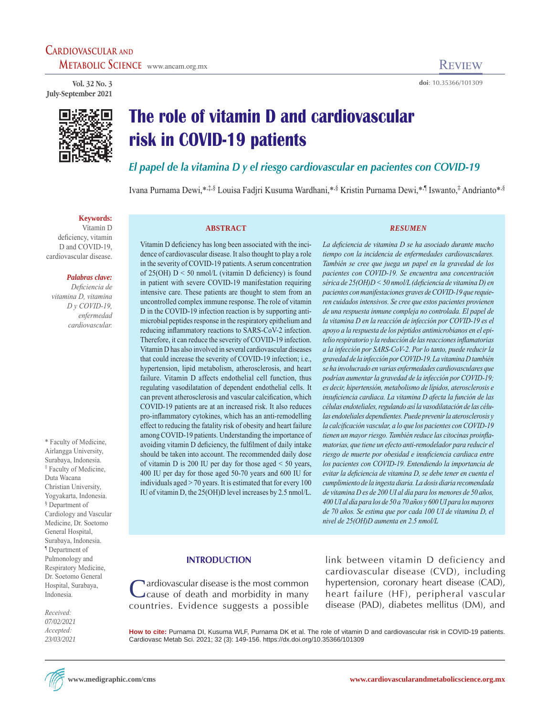**Vol. 32 No. 3 July-September 2021**



# **The role of vitamin D and cardiovascular risk in COVID-19 patients**

*El papel de la vitamina D y el riesgo cardiovascular en pacientes con COVID-19*

Ivana Purnama Dewi,\*,‡,§ Louisa Fadjri Kusuma Wardhani,\*,§ Kristin Purnama Dewi,\*,¶ Iswanto,‡ Andrianto\*,§

#### **Keywords:**

Vitamin D deficiency, vitamin D and COVID-19 cardiovascular disease.

## *Palabras clave:*

*Deficiencia de vitamina D, vitamina D y COVID-19, enfermedad cardiovascular.*

\* Faculty of Medicine, Airlangga University, Surabaya, Indonesia. ‡ Faculty of Medicine, Duta Wacana Christian University, Yogyakarta, Indonesia. § Department of Cardiology and Vascular Medicine, Dr. Soetomo General Hospital, Surabaya, Indonesia. ¶ Department of Pulmonology and Respiratory Medicine, Dr. Soetomo General Hospital, Surabaya, Indonesia.

*Received: 07/02/2021 Accepted: 23/03/2021*

#### **ABSTRACT**

Vitamin D deficiency has long been associated with the incidence of cardiovascular disease. It also thought to play a role in the severity of COVID-19 patients. A serum concentration of  $25(OH) D \le 50$  nmol/L (vitamin D deficiency) is found in patient with severe COVID-19 manifestation requiring intensive care. These patients are thought to stem from an uncontrolled complex immune response. The role of vitamin D in the COVID-19 infection reaction is by supporting antimicrobial peptides response in the respiratory epithelium and reducing inflammatory reactions to SARS-CoV-2 infection. Therefore, it can reduce the severity of COVID-19 infection. Vitamin D has also involved in several cardiovascular diseases that could increase the severity of COVID-19 infection; i.e., hypertension, lipid metabolism, atherosclerosis, and heart failure. Vitamin D affects endothelial cell function, thus regulating vasodilatation of dependent endothelial cells. It can prevent atherosclerosis and vascular calcification, which COVID-19 patients are at an increased risk. It also reduces pro-inflammatory cytokines, which has an anti-remodelling effect to reducing the fatality risk of obesity and heart failure among COVID-19 patients. Understanding the importance of avoiding vitamin D deficiency, the fulfilment of daily intake should be taken into account. The recommended daily dose of vitamin D is 200 IU per day for those aged < 50 years, 400 IU per day for those aged 50-70 years and 600 IU for individuals aged > 70 years. It is estimated that for every 100 IU of vitamin D, the 25(OH)D level increases by 2.5 nmol/L.

#### *RESUMEN*

**doi**: 10.35366/101309

*La deficiencia de vitamina D se ha asociado durante mucho tiempo con la incidencia de enfermedades cardiovasculares. También se cree que juega un papel en la gravedad de los pacientes con COVID-19. Se encuentra una concentración sérica de 25(OH)D < 50 nmol/L (deficiencia de vitamina D) en pacientes con manifestaciones graves de COVID-19 que requieren cuidados intensivos. Se cree que estos pacientes provienen de una respuesta inmune compleja no controlada. El papel de la vitamina D en la reacción de infección por COVID-19 es el apoyo a la respuesta de los péptidos antimicrobianos en el epitelio respiratorio y la reducción de las reacciones inflamatorias a la infección por SARS-CoV-2. Por lo tanto, puede reducir la gravedad de la infección por COVID-19. La vitamina D también se ha involucrado en varias enfermedades cardiovasculares que podrían aumentar la gravedad de la infección por COVID-19; es decir, hipertensión, metabolismo de lípidos, aterosclerosis e insuficiencia cardiaca. La vitamina D afecta la función de las células endoteliales, regulando así la vasodilatación de las células endoteliales dependientes. Puede prevenir la aterosclerosis y la calcificación vascular, a lo que los pacientes con COVID-19 tienen un mayor riesgo. También reduce las citocinas proinflamatorias, que tiene un efecto anti-remodelador para reducir el riesgo de muerte por obesidad e insuficiencia cardiaca entre los pacientes con COVID-19. Entendiendo la importancia de evitar la deficiencia de vitamina D, se debe tener en cuenta el cumplimiento de la ingesta diaria. La dosis diaria recomendada de vitamina D es de 200 UI al día para los menores de 50 años, 400 UI al día para los de 50 a 70 años y 600 UI para los mayores de 70 años. Se estima que por cada 100 UI de vitamina D, el nivel de 25(OH)D aumenta en 2.5 nmol/L*

### **INTRODUCTION**

Cardiovascular disease is the most common<br>Cause of death and morbidity in many countries. Evidence suggests a possible

link between vitamin D deficiency and cardiovascular disease (CVD), including hypertension, coronary heart disease (CAD), heart failure (HF), peripheral vascular disease (PAD), diabetes mellitus (DM), and

**How to cite:** Purnama DI, Kusuma WLF, Purnama DK et al. The role of vitamin D and cardiovascular risk in COVID-19 patients. Cardiovasc Metab Sci. 2021; 32 (3): 149-156. https://dx.doi.org/10.35366/101309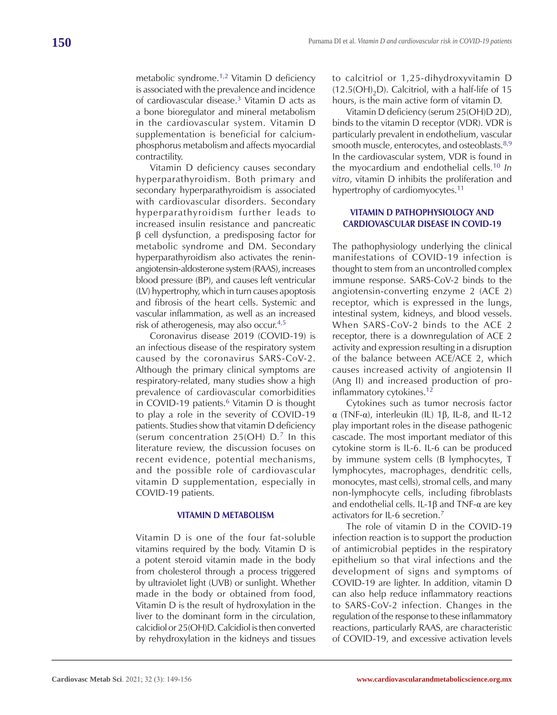metabolic syndrome.1,2 Vitamin D deficiency is associated with the prevalence and incidence of cardiovascular disease.3 Vitamin D acts as a bone bioregulator and mineral metabolism in the cardiovascular system. Vitamin D supplementation is beneficial for calciumphosphorus metabolism and affects myocardial contractility.

Vitamin D deficiency causes secondary hyperparathyroidism. Both primary and secondary hyperparathyroidism is associated with cardiovascular disorders. Secondary hyperparathyroidism further leads to increased insulin resistance and pancreatic β cell dysfunction, a predisposing factor for metabolic syndrome and DM. Secondary hyperparathyroidism also activates the reninangiotensin-aldosterone system (RAAS), increases blood pressure (BP), and causes left ventricular (LV) hypertrophy, which in turn causes apoptosis and fibrosis of the heart cells. Systemic and vascular inflammation, as well as an increased risk of atherogenesis, may also occur.4,5

Coronavirus disease 2019 (COVID-19) is an infectious disease of the respiratory system caused by the coronavirus SARS-CoV-2. Although the primary clinical symptoms are respiratory-related, many studies show a high prevalence of cardiovascular comorbidities in COVID-19 patients. $6$  Vitamin D is thought to play a role in the severity of COVID-19 patients. Studies show that vitamin D deficiency (serum concentration  $25(OH) D^7$  In this literature review, the discussion focuses on recent evidence, potential mechanisms, and the possible role of cardiovascular vitamin D supplementation, especially in COVID-19 patients.

## **VITAMIN D METABOLISM**

Vitamin D is one of the four fat-soluble vitamins required by the body. Vitamin D is a potent steroid vitamin made in the body from cholesterol through a process triggered by ultraviolet light (UVB) or sunlight. Whether made in the body or obtained from food, Vitamin D is the result of hydroxylation in the liver to the dominant form in the circulation, calcidiol or 25(OH)D. Calcidiol is then converted by rehydroxylation in the kidneys and tissues

to calcitriol or 1,25-dihydroxyvitamin D  $(12.5(OH), D)$ . Calcitriol, with a half-life of 15 hours, is the main active form of vitamin D.

Vitamin D deficiency (serum 25(OH)D 2D), binds to the vitamin D receptor (VDR). VDR is particularly prevalent in endothelium, vascular smooth muscle, enterocytes, and osteoblasts. $8,9$ In the cardiovascular system, VDR is found in the myocardium and endothelial cells.10 *In vitro*, vitamin D inhibits the proliferation and hypertrophy of cardiomyocytes.<sup>11</sup>

# **VITAMIN D PATHOPHYSIOLOGY AND CARDIOVASCULAR DISEASE IN COVID-19**

The pathophysiology underlying the clinical manifestations of COVID-19 infection is thought to stem from an uncontrolled complex immune response. SARS-CoV-2 binds to the angiotensin-converting enzyme 2 (ACE 2) receptor, which is expressed in the lungs, intestinal system, kidneys, and blood vessels. When SARS-CoV-2 binds to the ACE 2 receptor, there is a downregulation of ACE 2 activity and expression resulting in a disruption of the balance between ACE/ACE 2, which causes increased activity of angiotensin II (Ang II) and increased production of proinflammatory cytokines.<sup>12</sup>

Cytokines such as tumor necrosis factor α (TNF-α), interleukin (IL) 1β, IL-8, and IL-12 play important roles in the disease pathogenic cascade. The most important mediator of this cytokine storm is IL-6. IL-6 can be produced by immune system cells (B lymphocytes, T lymphocytes, macrophages, dendritic cells, monocytes, mast cells), stromal cells, and many non-lymphocyte cells, including fibroblasts and endothelial cells. IL-1β and TNF-α are key activators for IL-6 secretion.<sup>7</sup>

The role of vitamin D in the COVID-19 infection reaction is to support the production of antimicrobial peptides in the respiratory epithelium so that viral infections and the development of signs and symptoms of COVID-19 are lighter. In addition, vitamin D can also help reduce inflammatory reactions to SARS-CoV-2 infection. Changes in the regulation of the response to these inflammatory reactions, particularly RAAS, are characteristic of COVID-19, and excessive activation levels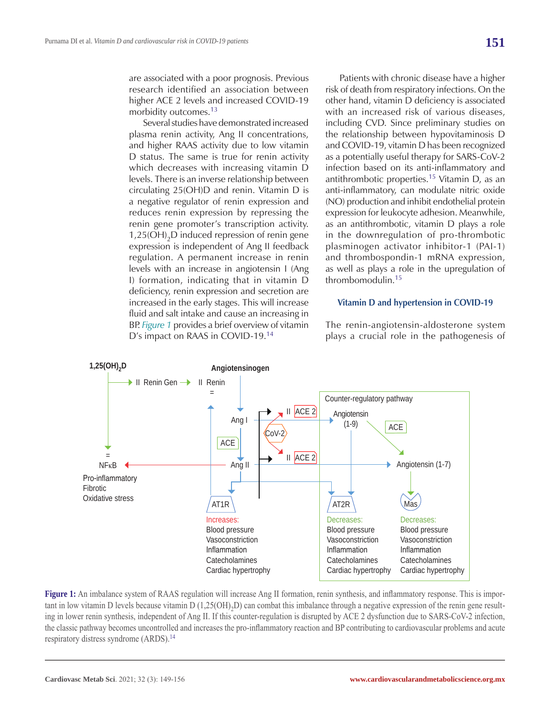are associated with a poor prognosis. Previous research identified an association between higher ACE 2 levels and increased COVID-19 morbidity outcomes.13

Several studies have demonstrated increased plasma renin activity, Ang II concentrations, and higher RAAS activity due to low vitamin D status. The same is true for renin activity which decreases with increasing vitamin D levels. There is an inverse relationship between circulating 25(OH)D and renin. Vitamin D is a negative regulator of renin expression and reduces renin expression by repressing the renin gene promoter's transcription activity.  $1,25(OH)_{2}D$  induced repression of renin gene expression is independent of Ang II feedback regulation. A permanent increase in renin levels with an increase in angiotensin I (Ang I) formation, indicating that in vitamin D deficiency, renin expression and secretion are increased in the early stages. This will increase fluid and salt intake and cause an increasing in BP. *Figure 1* provides a brief overview of vitamin D's impact on RAAS in COVID-19.14

Patients with chronic disease have a higher risk of death from respiratory infections. On the other hand, vitamin D deficiency is associated with an increased risk of various diseases, including CVD. Since preliminary studies on the relationship between hypovitaminosis D and COVID-19, vitamin D has been recognized as a potentially useful therapy for SARS-CoV-2 infection based on its anti-inflammatory and antithrombotic properties.15 Vitamin D, as an anti-inflammatory, can modulate nitric oxide (NO) production and inhibit endothelial protein expression for leukocyte adhesion. Meanwhile, as an antithrombotic, vitamin D plays a role in the downregulation of pro-thrombotic plasminogen activator inhibitor-1 (PAI-1) and thrombospondin-1 mRNA expression, as well as plays a role in the upregulation of thrombomodulin.15

## **Vitamin D and hypertension in COVID-19**

The renin-angiotensin-aldosterone system plays a crucial role in the pathogenesis of



**Figure 1:** An imbalance system of RAAS regulation will increase Ang II formation, renin synthesis, and inflammatory response. This is important in low vitamin D levels because vitamin D  $(1,25(OH),D)$  can combat this imbalance through a negative expression of the renin gene resulting in lower renin synthesis, independent of Ang II. If this counter-regulation is disrupted by ACE 2 dysfunction due to SARS-CoV-2 infection, the classic pathway becomes uncontrolled and increases the pro-inflammatory reaction and BP contributing to cardiovascular problems and acute respiratory distress syndrome (ARDS).<sup>14</sup>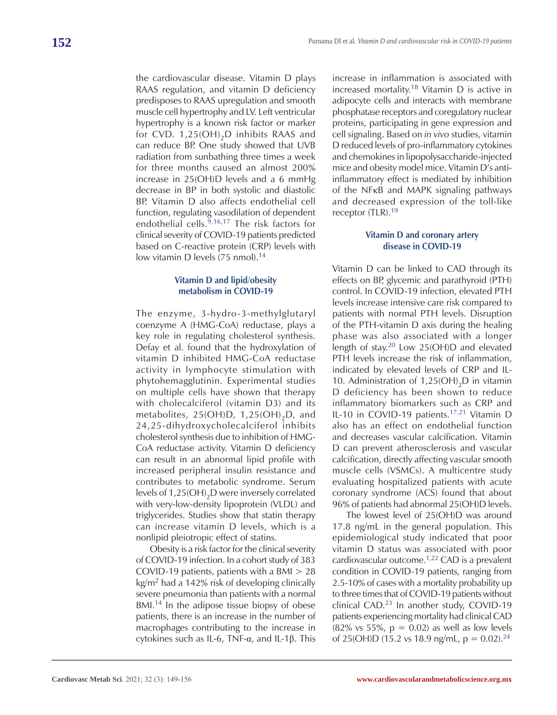the cardiovascular disease. Vitamin D plays RAAS regulation, and vitamin D deficiency predisposes to RAAS upregulation and smooth muscle cell hypertrophy and LV. Left ventricular hypertrophy is a known risk factor or marker for CVD.  $1,25(OH)_{2}D$  inhibits RAAS and can reduce BP. One study showed that UVB radiation from sunbathing three times a week for three months caused an almost 200% increase in 25(OH)D levels and a 6 mmHg decrease in BP in both systolic and diastolic BP. Vitamin D also affects endothelial cell function, regulating vasodilation of dependent endothelial cells.9,16,17 The risk factors for clinical severity of COVID-19 patients predicted based on C-reactive protein (CRP) levels with

# **Vitamin D and lipid/obesity metabolism in COVID-19**

low vitamin D levels  $(75 \text{ nmol})$ .<sup>14</sup>

The enzyme, 3-hydro-3-methylglutaryl coenzyme A (HMG-CoA) reductase, plays a key role in regulating cholesterol synthesis. Defay et al. found that the hydroxylation of vitamin D inhibited HMG-CoA reductase activity in lymphocyte stimulation with phytohemagglutinin. Experimental studies on multiple cells have shown that therapy with cholecalciferol (vitamin D3) and its metabolites,  $25(OH)D$ ,  $1,25(OH)2D$ , and 24,25-dihydroxycholecalciferol inhibits cholesterol synthesis due to inhibition of HMG-CoA reductase activity. Vitamin D deficiency can result in an abnormal lipid profile with increased peripheral insulin resistance and contributes to metabolic syndrome. Serum levels of  $1,25(OH)_{2}D$  were inversely correlated with very-low-density lipoprotein (VLDL) and triglycerides. Studies show that statin therapy can increase vitamin D levels, which is a nonlipid pleiotropic effect of statins.

Obesity is a risk factor for the clinical severity of COVID-19 infection. In a cohort study of 383 COVID-19 patients, patients with a BMI > 28 kg/m2 had a 142% risk of developing clinically severe pneumonia than patients with a normal BMI.<sup>14</sup> In the adipose tissue biopsy of obese patients, there is an increase in the number of macrophages contributing to the increase in cytokines such as IL-6, TNF-α, and IL-1β. This

increase in inflammation is associated with increased mortality.<sup>18</sup> Vitamin  $D$  is active in adipocyte cells and interacts with membrane phosphatase receptors and coregulatory nuclear proteins, participating in gene expression and cell signaling. Based on *in vivo* studies, vitamin D reduced levels of pro-inflammatory cytokines and chemokines in lipopolysaccharide-injected mice and obesity model mice. Vitamin D's antiinflammatory effect is mediated by inhibition of the NFκB and MAPK signaling pathways and decreased expression of the toll-like receptor (TLR).<sup>19</sup>

## **Vitamin D and coronary artery disease in COVID-19**

Vitamin D can be linked to CAD through its effects on BP, glycemic and parathyroid (PTH) control. In COVID-19 infection, elevated PTH levels increase intensive care risk compared to patients with normal PTH levels. Disruption of the PTH-vitamin D axis during the healing phase was also associated with a longer length of stay.<sup>20</sup> Low 25(OH)D and elevated PTH levels increase the risk of inflammation, indicated by elevated levels of CRP and IL-10. Administration of  $1,25(OH)_{2}D$  in vitamin D deficiency has been shown to reduce inflammatory biomarkers such as CRP and IL-10 in COVID-19 patients.<sup>17,21</sup> Vitamin D also has an effect on endothelial function and decreases vascular calcification. Vitamin D can prevent atherosclerosis and vascular calcification, directly affecting vascular smooth muscle cells (VSMCs). A multicentre study evaluating hospitalized patients with acute coronary syndrome (ACS) found that about 96% of patients had abnormal 25(OH)D levels.

The lowest level of 25(OH)D was around 17.8 ng/mL in the general population. This epidemiological study indicated that poor vitamin D status was associated with poor cardiovascular outcome.1,22 CAD is a prevalent condition in COVID-19 patients, ranging from 2.5-10% of cases with a mortality probability up to three times that of COVID-19 patients without clinical CAD.<sup>23</sup> In another study, COVID-19 patients experiencing mortality had clinical CAD  $(82\% \text{ vs } 55\%, \text{ p} = 0.02)$  as well as low levels of 25(OH)D (15.2 vs 18.9 ng/mL,  $p = 0.02$ ).<sup>24</sup>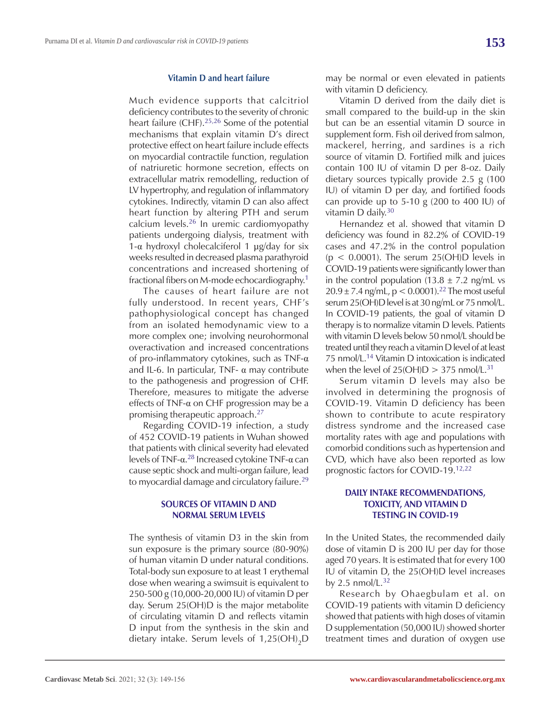#### **Vitamin D and heart failure**

Much evidence supports that calcitriol deficiency contributes to the severity of chronic heart failure (CHF).25,26 Some of the potential mechanisms that explain vitamin D's direct protective effect on heart failure include effects on myocardial contractile function, regulation of natriuretic hormone secretion, effects on extracellular matrix remodelling, reduction of LV hypertrophy, and regulation of inflammatory cytokines. Indirectly, vitamin D can also affect heart function by altering PTH and serum calcium levels.26 In uremic cardiomyopathy patients undergoing dialysis, treatment with 1- $\alpha$  hydroxyl cholecalciferol 1  $\mu$ g/day for six weeks resulted in decreased plasma parathyroid concentrations and increased shortening of fractional fibers on M-mode echocardiography.1

The causes of heart failure are not fully understood. In recent years, CHF's pathophysiological concept has changed from an isolated hemodynamic view to a more complex one; involving neurohormonal overactivation and increased concentrations of pro-inflammatory cytokines, such as TNF-α and IL-6. In particular, TNF-  $\alpha$  may contribute to the pathogenesis and progression of CHF. Therefore, measures to mitigate the adverse effects of TNF-α on CHF progression may be a promising therapeutic approach.27

Regarding COVID-19 infection, a study of 452 COVID-19 patients in Wuhan showed that patients with clinical severity had elevated levels of TNF- $\alpha$ <sup>28</sup> Increased cytokine TNF- $\alpha$  can cause septic shock and multi-organ failure, lead to myocardial damage and circulatory failure.<sup>29</sup>

# **SOURCES OF VITAMIN D AND NORMAL SERUM LEVELS**

The synthesis of vitamin D3 in the skin from sun exposure is the primary source (80-90%) of human vitamin D under natural conditions. Total-body sun exposure to at least 1 erythemal dose when wearing a swimsuit is equivalent to 250-500 g (10,000-20,000 IU) of vitamin D per day. Serum 25(OH)D is the major metabolite of circulating vitamin D and reflects vitamin D input from the synthesis in the skin and dietary intake. Serum levels of  $1,25(OH)_{2}D$ 

may be normal or even elevated in patients with vitamin D deficiency.

Vitamin D derived from the daily diet is small compared to the build-up in the skin but can be an essential vitamin D source in supplement form. Fish oil derived from salmon, mackerel, herring, and sardines is a rich source of vitamin D. Fortified milk and juices contain 100 IU of vitamin D per 8-oz. Daily dietary sources typically provide 2.5 g (100 IU) of vitamin D per day, and fortified foods can provide up to  $5-10$  g (200 to 400 IU) of vitamin D daily.<sup>30</sup>

Hernandez et al. showed that vitamin D deficiency was found in 82.2% of COVID-19 cases and 47.2% in the control population  $(p < 0.0001)$ . The serum 25(OH)D levels in COVID-19 patients were significantly lower than in the control population (13.8  $\pm$  7.2 ng/mL vs  $20.9 \pm 7.4$  ng/mL, p < 0.0001).<sup>22</sup> The most useful serum 25(OH)D level is at 30 ng/mL or 75 nmol/L. In COVID-19 patients, the goal of vitamin D therapy is to normalize vitamin D levels. Patients with vitamin D levels below 50 nmol/L should be treated until they reach a vitamin D level of at least 75 nmol/L.14 Vitamin D intoxication is indicated when the level of  $25(OH)D > 375$  nmol/L.<sup>31</sup>

Serum vitamin D levels may also be involved in determining the prognosis of COVID-19. Vitamin D deficiency has been shown to contribute to acute respiratory distress syndrome and the increased case mortality rates with age and populations with comorbid conditions such as hypertension and CVD, which have also been reported as low prognostic factors for COVID-19.12,22

# **DAILY INTAKE RECOMMENDATIONS, TOXICITY, AND VITAMIN D TESTING IN COVID-19**

In the United States, the recommended daily dose of vitamin D is 200 IU per day for those aged 70 years. It is estimated that for every 100 IU of vitamin D, the 25(OH)D level increases by 2.5 nmol/ $L^{32}$ 

Research by Ohaegbulam et al. on COVID-19 patients with vitamin D deficiency showed that patients with high doses of vitamin D supplementation (50,000 IU) showed shorter treatment times and duration of oxygen use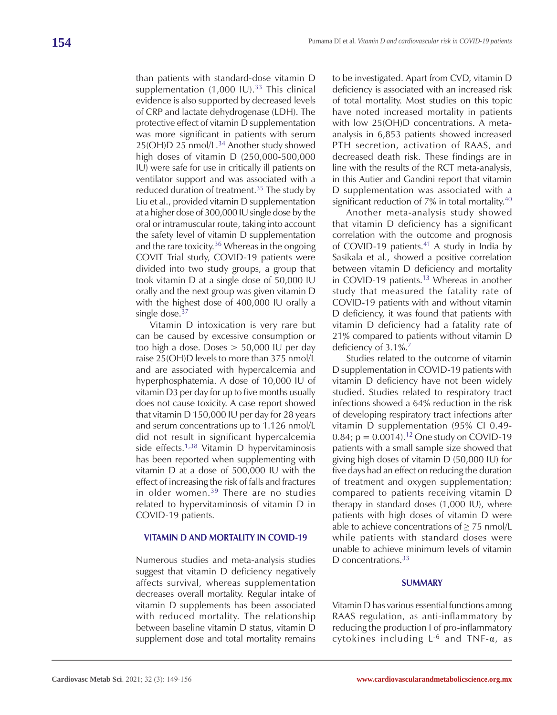than patients with standard-dose vitamin D supplementation  $(1,000 \text{ IU})$ .<sup>33</sup> This clinical evidence is also supported by decreased levels of CRP and lactate dehydrogenase (LDH). The protective effect of vitamin D supplementation was more significant in patients with serum 25(OH)D 25 nmol/L.<sup>34</sup> Another study showed high doses of vitamin D (250,000-500,000 IU) were safe for use in critically ill patients on ventilator support and was associated with a reduced duration of treatment.35 The study by Liu et al., provided vitamin D supplementation at a higher dose of 300,000 IU single dose by the oral or intramuscular route, taking into account the safety level of vitamin D supplementation and the rare toxicity. $36$  Whereas in the ongoing COVIT Trial study, COVID-19 patients were divided into two study groups, a group that took vitamin D at a single dose of 50,000 IU orally and the next group was given vitamin D with the highest dose of 400,000 IU orally a single dose.<sup>37</sup>

Vitamin D intoxication is very rare but can be caused by excessive consumption or too high a dose. Doses > 50,000 IU per day raise 25(OH)D levels to more than 375 nmol/L and are associated with hypercalcemia and hyperphosphatemia. A dose of 10,000 IU of vitamin D3 per day for up to five months usually does not cause toxicity. A case report showed that vitamin D 150,000 IU per day for 28 years and serum concentrations up to 1.126 nmol/L did not result in significant hypercalcemia side effects.<sup>1,38</sup> Vitamin D hypervitaminosis has been reported when supplementing with vitamin D at a dose of 500,000 IU with the effect of increasing the risk of falls and fractures in older women.<sup>39</sup> There are no studies related to hypervitaminosis of vitamin D in COVID-19 patients.

### **VITAMIN D AND MORTALITY IN COVID-19**

Numerous studies and meta-analysis studies suggest that vitamin D deficiency negatively affects survival, whereas supplementation decreases overall mortality. Regular intake of vitamin D supplements has been associated with reduced mortality. The relationship between baseline vitamin D status, vitamin D supplement dose and total mortality remains

to be investigated. Apart from CVD, vitamin D deficiency is associated with an increased risk of total mortality. Most studies on this topic have noted increased mortality in patients with low 25(OH)D concentrations. A metaanalysis in 6,853 patients showed increased PTH secretion, activation of RAAS, and decreased death risk. These findings are in line with the results of the RCT meta-analysis, in this Autier and Gandini report that vitamin D supplementation was associated with a significant reduction of 7% in total mortality.<sup>40</sup>

Another meta-analysis study showed that vitamin D deficiency has a significant correlation with the outcome and prognosis of COVID-19 patients.<sup>41</sup> A study in India by Sasikala et al., showed a positive correlation between vitamin D deficiency and mortality in COVID-19 patients.<sup>13</sup> Whereas in another study that measured the fatality rate of COVID-19 patients with and without vitamin D deficiency, it was found that patients with vitamin D deficiency had a fatality rate of 21% compared to patients without vitamin D deficiency of 3.1%.<sup>7</sup>

Studies related to the outcome of vitamin D supplementation in COVID-19 patients with vitamin D deficiency have not been widely studied. Studies related to respiratory tract infections showed a 64% reduction in the risk of developing respiratory tract infections after vitamin D supplementation (95% CI 0.49- 0.84;  $p = 0.0014$ .<sup>12</sup> One study on COVID-19 patients with a small sample size showed that giving high doses of vitamin D (50,000 IU) for five days had an effect on reducing the duration of treatment and oxygen supplementation; compared to patients receiving vitamin D therapy in standard doses (1,000 IU), where patients with high doses of vitamin D were able to achieve concentrations of  $\geq$  75 nmol/L while patients with standard doses were unable to achieve minimum levels of vitamin D concentrations.<sup>33</sup>

### **SUMMARY**

Vitamin D has various essential functions among RAAS regulation, as anti-inflammatory by reducing the production I of pro-inflammatory cytokines including  $L^{-6}$  and TNF- $\alpha$ , as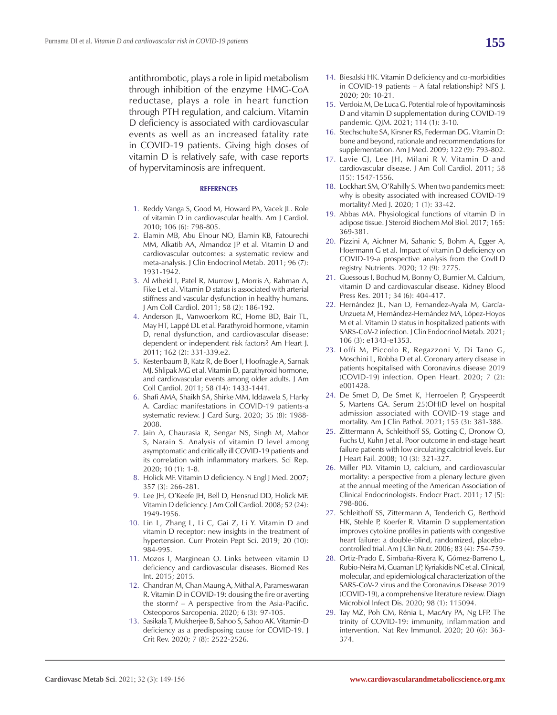antithrombotic, plays a role in lipid metabolism through inhibition of the enzyme HMG-CoA reductase, plays a role in heart function through PTH regulation, and calcium. Vitamin D deficiency is associated with cardiovascular events as well as an increased fatality rate in COVID-19 patients. Giving high doses of vitamin D is relatively safe, with case reports of hypervitaminosis are infrequent.

#### **REFERENCES**

- 1. Reddy Vanga S, Good M, Howard PA, Vacek JL. Role of vitamin D in cardiovascular health. Am J Cardiol. 2010; 106 (6): 798-805.
- 2. Elamin MB, Abu Elnour NO, Elamin KB, Fatourechi MM, Alkatib AA, Almandoz JP et al. Vitamin D and cardiovascular outcomes: a systematic review and meta-analysis. J Clin Endocrinol Metab. 2011; 96 (7): 1931-1942.
- 3. Al Mheid I, Patel R, Murrow J, Morris A, Rahman A, Fike L et al. Vitamin D status is associated with arterial stiffness and vascular dysfunction in healthy humans. J Am Coll Cardiol. 2011; 58 (2): 186-192.
- 4. Anderson JL, Vanwoerkom RC, Horne BD, Bair TL, May HT, Lappé DL et al. Parathyroid hormone, vitamin D, renal dysfunction, and cardiovascular disease: dependent or independent risk factors? Am Heart J. 2011; 162 (2): 331-339.e2.
- 5. Kestenbaum B, Katz R, de Boer I, Hoofnagle A, Sarnak MJ, Shlipak MG et al. Vitamin D, parathyroid hormone, and cardiovascular events among older adults. J Am Coll Cardiol. 2011; 58 (14): 1433-1441.
- 6. Shafi AMA, Shaikh SA, Shirke MM, Iddawela S, Harky A. Cardiac manifestations in COVID-19 patients-a systematic review. J Card Surg. 2020; 35 (8): 1988- 2008.
- 7. Jain A, Chaurasia R, Sengar NS, Singh M, Mahor S, Narain S. Analysis of vitamin D level among asymptomatic and critically ill COVID-19 patients and its correlation with inflammatory markers. Sci Rep. 2020; 10 (1): 1-8.
- 8. Holick MF. Vitamin D deficiency. N Engl J Med. 2007; 357 (3): 266-281.
- 9. Lee JH, O'Keefe JH, Bell D, Hensrud DD, Holick MF. Vitamin D deficiency. J Am Coll Cardiol. 2008; 52 (24): 1949-1956.
- 10. Lin L, Zhang L, Li C, Gai Z, Li Y. Vitamin D and vitamin D receptor: new insights in the treatment of hypertension. Curr Protein Pept Sci. 2019; 20 (10): 984-995.
- 11. Mozos I, Marginean O. Links between vitamin D deficiency and cardiovascular diseases. Biomed Res Int. 2015; 2015.
- 12. Chandran M, Chan Maung A, Mithal A, Parameswaran R. Vitamin D in COVID-19: dousing the fire or averting the storm? – A perspective from the Asia-Pacific. Osteoporos Sarcopenia. 2020; 6 (3): 97-105.
- 13. Sasikala T, Mukherjee B, Sahoo S, Sahoo AK. Vitamin-D deficiency as a predisposing cause for COVID-19. J Crit Rev. 2020; 7 (8): 2522-2526.
- 14. Biesalski HK. Vitamin D deficiency and co-morbidities in COVID-19 patients – A fatal relationship? NFS J. 2020; 20: 10-21.
- 15. Verdoia M, De Luca G. Potential role of hypovitaminosis D and vitamin D supplementation during COVID-19 pandemic. QJM. 2021; 114 (1): 3-10.
- 16. Stechschulte SA, Kirsner RS, Federman DG. Vitamin D: bone and beyond, rationale and recommendations for supplementation. Am J Med. 2009; 122 (9): 793-802.
- 17. Lavie CJ, Lee JH, Milani R V. Vitamin D and cardiovascular disease. J Am Coll Cardiol. 2011; 58 (15): 1547-1556.
- 18. Lockhart SM, O'Rahilly S. When two pandemics meet: why is obesity associated with increased COVID-19 mortality? Med J. 2020; 1 (1): 33-42.
- 19. Abbas MA. Physiological functions of vitamin D in adipose tissue. J Steroid Biochem Mol Biol. 2017; 165: 369-381.
- 20. Pizzini A, Aichner M, Sahanic S, Bohm A, Egger A, Hoermann G et al. Impact of vitamin D deficiency on COVID-19-a prospective analysis from the CovILD registry. Nutrients. 2020; 12 (9): 2775.
- 21. Guessous I, Bochud M, Bonny O, Burnier M. Calcium, vitamin D and cardiovascular disease. Kidney Blood Press Res. 2011; 34 (6): 404-417.
- 22. Hernández JL, Nan D, Fernandez-Ayala M, García-Unzueta M, Hernández-Hernández MA, López-Hoyos M et al. Vitamin D status in hospitalized patients with SARS-CoV-2 infection. J Clin Endocrinol Metab. 2021; 106 (3): e1343-e1353.
- 23. Loffi M, Piccolo R, Regazzoni V, Di Tano G, Moschini L, Robba D et al. Coronary artery disease in patients hospitalised with Coronavirus disease 2019 (COVID-19) infection. Open Heart. 2020; 7 (2): e001428.
- 24. De Smet D, De Smet K, Herroelen P, Gryspeerdt S, Martens GA. Serum 25(OH)D level on hospital admission associated with COVID-19 stage and mortality. Am J Clin Pathol. 2021; 155 (3): 381-388.
- 25. Zittermann A, Schleithoff SS, Gotting C, Dronow O, Fuchs U, Kuhn J et al. Poor outcome in end-stage heart failure patients with low circulating calcitriol levels. Eur J Heart Fail. 2008; 10 (3): 321-327.
- 26. Miller PD. Vitamin D, calcium, and cardiovascular mortality: a perspective from a plenary lecture given at the annual meeting of the American Association of Clinical Endocrinologists. Endocr Pract. 2011; 17 (5): 798-806.
- 27. Schleithoff SS, Zittermann A, Tenderich G, Berthold HK, Stehle P, Koerfer R. Vitamin D supplementation improves cytokine profiles in patients with congestive heart failure: a double-blind, randomized, placebocontrolled trial. Am J Clin Nutr. 2006; 83 (4): 754-759.
- 28. Ortiz-Prado E, Simbaña-Rivera K, Gómez-Barreno L, Rubio-Neira M, Guaman LP, Kyriakidis NC et al. Clinical, molecular, and epidemiological characterization of the SARS-CoV-2 virus and the Coronavirus Disease 2019 (COVID-19), a comprehensive literature review. Diagn Microbiol Infect Dis. 2020; 98 (1): 115094.
- 29. Tay MZ, Poh CM, Rénia L, MacAry PA, Ng LFP. The trinity of COVID-19: immunity, inflammation and intervention. Nat Rev Immunol. 2020; 20 (6): 363- 374.